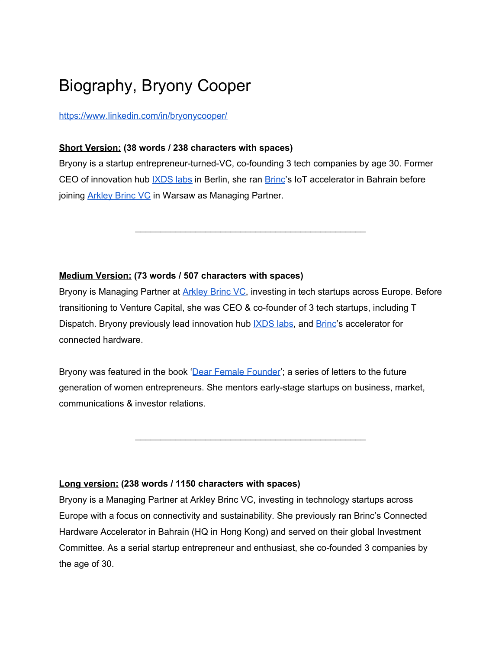# Biography, Bryony Cooper

<https://www.linkedin.com/in/bryonycooper/>

#### **Short Version: (38 words / 238 characters with spaces)**

Bryony is a startup entrepreneur-turned-VC, co-founding 3 tech companies by age 30. Former CEO of innovation hub **[IXDS](https://ixds.com/ixds-labs) labs** in Berlin, she ran **[Brinc](https://www.brinc.io/)'s IoT** accelerator in Bahrain before joining [Arkley](http://www.arkleybrinc.vc/) Brinc VC in Warsaw as Managing Partner.

\_\_\_\_\_\_\_\_\_\_\_\_\_\_\_\_\_\_\_\_\_\_\_\_\_\_\_\_\_\_\_\_\_\_\_\_\_\_\_\_\_\_\_\_\_\_

## **Medium Version: (73 words / 507 characters with spaces)**

Bryony is Managing Partner at [Arkley](http://www.arkleybrinc.vc/) Brinc VC, investing in tech startups across Europe. Before transitioning to Venture Capital, she was CEO & co-founder of 3 tech startups, including T Dispatch. Bryony previously lead innovation hub **XDS** labs, and **[Brinc](https://www.brinc.io/)'s accelerator for** connected hardware.

Bryony was featured in the book 'Dear Female [Founder](https://www.amazon.com/Dear-Female-Founder-Letters-Entrepreneurs/dp/0995608105)'; a series of letters to the future generation of women entrepreneurs. She mentors early-stage startups on business, market, communications & investor relations.

\_\_\_\_\_\_\_\_\_\_\_\_\_\_\_\_\_\_\_\_\_\_\_\_\_\_\_\_\_\_\_\_\_\_\_\_\_\_\_\_\_\_\_\_\_\_

#### **Long version: (238 words / 1150 characters with spaces)**

Bryony is a Managing Partner at Arkley Brinc VC, investing in technology startups across Europe with a focus on connectivity and sustainability. She previously ran Brinc's Connected Hardware Accelerator in Bahrain (HQ in Hong Kong) and served on their global Investment Committee. As a serial startup entrepreneur and enthusiast, she co-founded 3 companies by the age of 30.